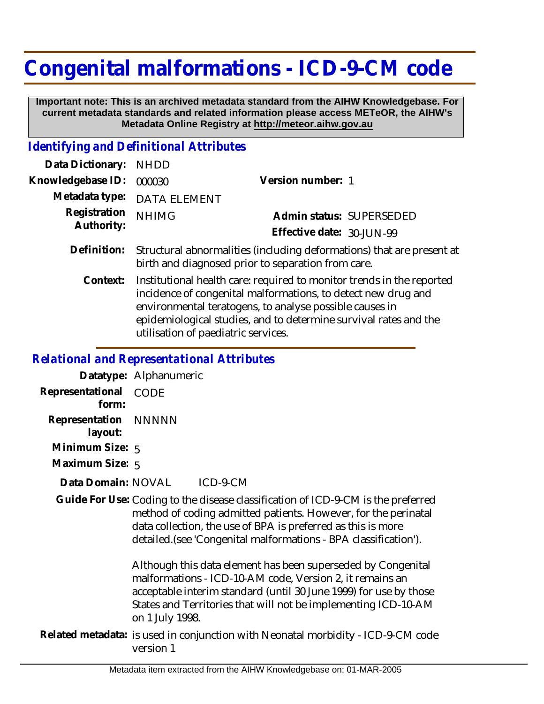## **Congenital malformations - ICD-9-CM code**

 **Important note: This is an archived metadata standard from the AIHW Knowledgebase. For current metadata standards and related information please access METeOR, the AIHW's Metadata Online Registry at http://meteor.aihw.gov.au**

## *Identifying and Definitional Attributes*

| Data Dictionary: NHDD    |                                                                           |                           |                          |
|--------------------------|---------------------------------------------------------------------------|---------------------------|--------------------------|
| Knowledgebase ID: 000030 |                                                                           | Version number: 1         |                          |
|                          | Metadata type: DATA ELEMENT                                               |                           |                          |
| Registration NHIMG       |                                                                           |                           | Admin status: SUPERSEDED |
| Authority:               |                                                                           | Effective date: 30-JUN-99 |                          |
|                          | Definition. Chaighigh absorpted theo final idiomological and theotope pro |                           |                          |

- Definition: Structural abnormalities (including deformations) that are present at birth and diagnosed prior to separation from care.
	- Institutional health care: required to monitor trends in the reported incidence of congenital malformations, to detect new drug and environmental teratogens, to analyse possible causes in epidemiological studies, and to determine survival rates and the utilisation of paediatric services. **Context:**

## *Relational and Representational Attributes*

**Datatype:** Alphanumeric **Representational** CODE

 **form:**

**Representation** NNNNN

 **layout:**

**Minimum Size:** 5

**Maximum Size:** 5

 $ICD-9-CM$ **Data Domain:**

Guide For Use: Coding to the disease classification of ICD-9-CM is the preferred method of coding admitted patients. However, for the perinatal data collection, the use of BPA is preferred as this is more detailed.(see 'Congenital malformations - BPA classification').

> Although this data element has been superseded by Congenital malformations - ICD-10-AM code, Version 2, it remains an acceptable interim standard (until 30 June 1999) for use by those States and Territories that will not be implementing ICD-10-AM on 1 July 1998.

Related metadata: is used in conjunction with Neonatal morbidity - ICD-9-CM code version 1